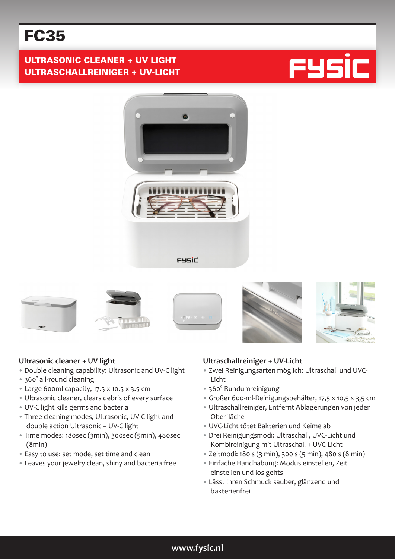# FC35

## ULTRASONIC CLEANER + UV LIGHT ULTRASCHALLREINIGER + UV-LICHT















#### **Ultrasonic cleaner + UV light**

- Double cleaning capability: Ultrasonic and UV-C light
- 360° all-round cleaning
- Large 600ml capacity, 17.5 x 10.5 x 3.5 cm
- Ultrasonic cleaner, clears debris of every surface
- UV-C light kills germs and bacteria
- Three cleaning modes, Ultrasonic, UV-C light and double action Ultrasonic + UV-C light
- Time modes: 180sec (3min), 300sec (5min), 480sec (8min)
- Easy to use: set mode, set time and clean
- Leaves your jewelry clean, shiny and bacteria free

#### **Ultraschallreiniger + UV-Licht**

- Zwei Reinigungsarten möglich: Ultraschall und UVC-Licht
- 360°-Rundumreinigung
- Großer 600-ml-Reinigungsbehälter, 17,5 x 10,5 x 3,5 cm
- Ultraschallreiniger, Entfernt Ablagerungen von jeder Oberfläche
- UVC-Licht tötet Bakterien und Keime ab
- Drei Reinigungsmodi: Ultraschall, UVC-Licht und Kombireinigung mit Ultraschall + UVC-Licht
- Zeitmodi: 180 s (3 min), 300 s (5 min), 480 s (8 min)
- Einfache Handhabung: Modus einstellen, Zeit einstellen und los gehts
- Lässt Ihren Schmuck sauber, glänzend und bakterienfrei

### **www.fysic.nl**